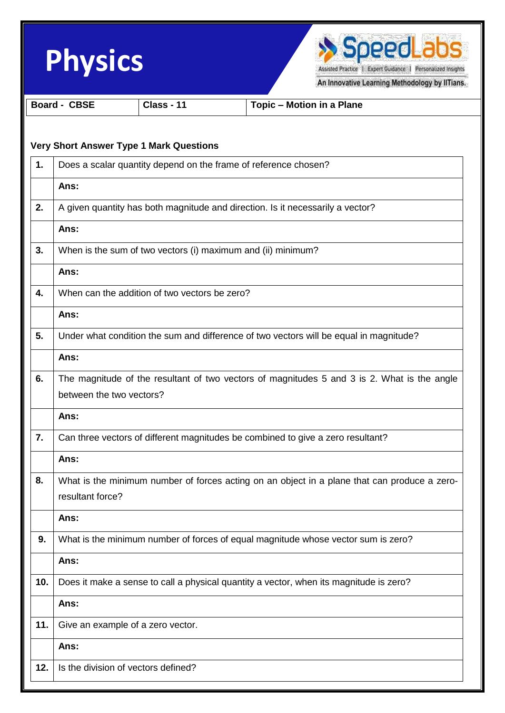|     | <b>Physics</b>           |                                                              | SpeedLabs<br>Assisted Practice   Expert Guidance   Personalized Insights                     |
|-----|--------------------------|--------------------------------------------------------------|----------------------------------------------------------------------------------------------|
|     | <b>Board - CBSE</b>      | Class - 11                                                   | An Innovative Learning Methodology by IITians.<br><b>Topic - Motion in a Plane</b>           |
|     |                          |                                                              |                                                                                              |
|     |                          | <b>Very Short Answer Type 1 Mark Questions</b>               |                                                                                              |
| 1.  |                          |                                                              | Does a scalar quantity depend on the frame of reference chosen?                              |
|     | Ans:                     |                                                              |                                                                                              |
| 2.  |                          |                                                              | A given quantity has both magnitude and direction. Is it necessarily a vector?               |
|     | Ans:                     |                                                              |                                                                                              |
| 3.  |                          | When is the sum of two vectors (i) maximum and (ii) minimum? |                                                                                              |
|     | Ans:                     |                                                              |                                                                                              |
| 4.  |                          | When can the addition of two vectors be zero?                |                                                                                              |
|     | Ans:                     |                                                              |                                                                                              |
| 5.  |                          |                                                              | Under what condition the sum and difference of two vectors will be equal in magnitude?       |
|     | Ans:                     |                                                              |                                                                                              |
| 6.  |                          |                                                              | The magnitude of the resultant of two vectors of magnitudes 5 and 3 is 2. What is the angle  |
|     | between the two vectors? |                                                              |                                                                                              |
|     | Ans:                     |                                                              |                                                                                              |
| 7.  |                          |                                                              | Can three vectors of different magnitudes be combined to give a zero resultant?              |
|     | Ans:                     |                                                              |                                                                                              |
| 8.  | resultant force?         |                                                              | What is the minimum number of forces acting on an object in a plane that can produce a zero- |
|     | Ans:                     |                                                              |                                                                                              |
| 9.  |                          |                                                              | What is the minimum number of forces of equal magnitude whose vector sum is zero?            |
|     | Ans:                     |                                                              |                                                                                              |
| 10. |                          |                                                              | Does it make a sense to call a physical quantity a vector, when its magnitude is zero?       |
|     | Ans:                     |                                                              |                                                                                              |
| 11. |                          | Give an example of a zero vector.                            |                                                                                              |
|     | Ans:                     |                                                              |                                                                                              |
| 12. |                          | Is the division of vectors defined?                          |                                                                                              |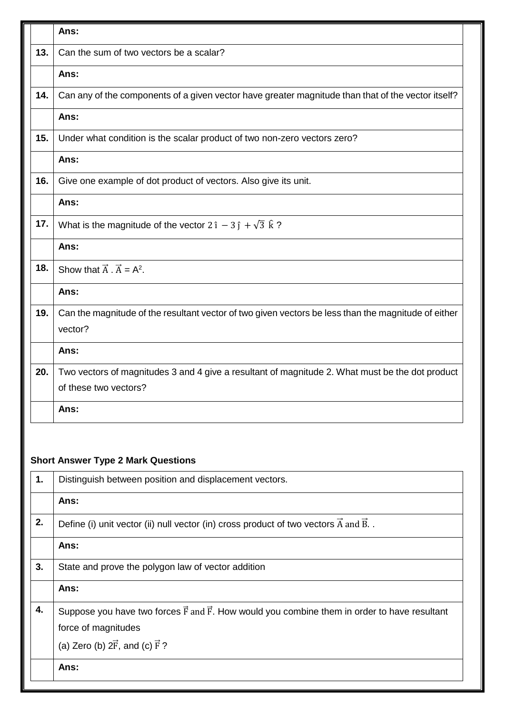|                                                                                                           | Ans:                                                                                                                     |  |
|-----------------------------------------------------------------------------------------------------------|--------------------------------------------------------------------------------------------------------------------------|--|
| 13.                                                                                                       | Can the sum of two vectors be a scalar?                                                                                  |  |
|                                                                                                           | Ans:                                                                                                                     |  |
| 14.                                                                                                       | Can any of the components of a given vector have greater magnitude than that of the vector itself?                       |  |
|                                                                                                           | Ans:                                                                                                                     |  |
| 15.                                                                                                       | Under what condition is the scalar product of two non-zero vectors zero?                                                 |  |
|                                                                                                           | Ans:                                                                                                                     |  |
| 16.                                                                                                       | Give one example of dot product of vectors. Also give its unit.                                                          |  |
|                                                                                                           | Ans:                                                                                                                     |  |
| 17.                                                                                                       | What is the magnitude of the vector $2 \hat{i} - 3 \hat{j} + \sqrt{3} \hat{k}$ ?                                         |  |
|                                                                                                           | Ans:                                                                                                                     |  |
| 18.                                                                                                       | Show that $\vec{A} \cdot \vec{A} = A^2$ .                                                                                |  |
|                                                                                                           | Ans:                                                                                                                     |  |
| 19.                                                                                                       | Can the magnitude of the resultant vector of two given vectors be less than the magnitude of either<br>vector?           |  |
|                                                                                                           | Ans:                                                                                                                     |  |
| 20.                                                                                                       | Two vectors of magnitudes 3 and 4 give a resultant of magnitude 2. What must be the dot product<br>of these two vectors? |  |
|                                                                                                           | Ans:                                                                                                                     |  |
| <b>Short Answer Type 2 Mark Questions</b><br>1.<br>Distinguish between position and displacement vectors. |                                                                                                                          |  |
|                                                                                                           | Ans:                                                                                                                     |  |
| 2.                                                                                                        | Define (i) unit vector (ii) null vector (in) cross product of two vectors $\vec{A}$ and $\vec{B}$ .                      |  |
|                                                                                                           | Ans:                                                                                                                     |  |
| 3.                                                                                                        | State and prove the polygon law of vector addition                                                                       |  |
|                                                                                                           | Ans:                                                                                                                     |  |
| 4.                                                                                                        | Suppose you have two forces $\vec{F}$ and $\vec{F}$ . How would you combine them in order to have resultant              |  |
|                                                                                                           | force of magnitudes<br>(a) Zero (b) $2\vec{F}$ , and (c) $\vec{F}$ ?                                                     |  |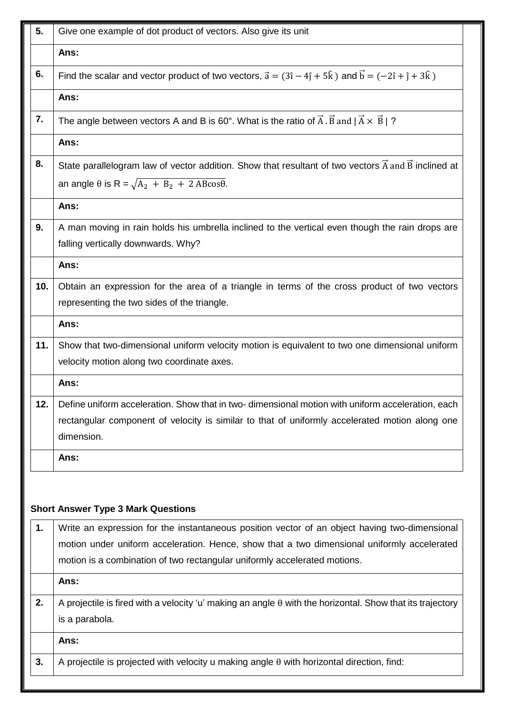| 5.  | Give one example of dot product of vectors. Also give its unit                                                                                                                                                                                                            |  |
|-----|---------------------------------------------------------------------------------------------------------------------------------------------------------------------------------------------------------------------------------------------------------------------------|--|
|     | Ans:                                                                                                                                                                                                                                                                      |  |
| 6.  | Find the scalar and vector product of two vectors, $\vec{a} = (3\hat{i} - 4\hat{j} + 5\hat{k})$ and $\vec{b} = (-2\hat{i} + \hat{j} + 3\hat{k})$                                                                                                                          |  |
|     | Ans:                                                                                                                                                                                                                                                                      |  |
| 7.  | The angle between vectors A and B is 60°. What is the ratio of $\vec{A} \cdot \vec{B}$ and $ \vec{A} \times \vec{B} $ ?                                                                                                                                                   |  |
|     | Ans:                                                                                                                                                                                                                                                                      |  |
| 8.  | State parallelogram law of vector addition. Show that resultant of two vectors $\vec{A}$ and $\vec{B}$ inclined at                                                                                                                                                        |  |
|     | an angle $\theta$ is R = $\sqrt{A_2 + B_2 + 2 A B \cos \theta}$ .                                                                                                                                                                                                         |  |
|     | Ans:                                                                                                                                                                                                                                                                      |  |
| 9.  | A man moving in rain holds his umbrella inclined to the vertical even though the rain drops are<br>falling vertically downwards. Why?                                                                                                                                     |  |
|     | Ans:                                                                                                                                                                                                                                                                      |  |
| 10. | Obtain an expression for the area of a triangle in terms of the cross product of two vectors                                                                                                                                                                              |  |
|     | representing the two sides of the triangle.                                                                                                                                                                                                                               |  |
|     | Ans:                                                                                                                                                                                                                                                                      |  |
| 11. | Show that two-dimensional uniform velocity motion is equivalent to two one dimensional uniform<br>velocity motion along two coordinate axes.                                                                                                                              |  |
|     | Ans:                                                                                                                                                                                                                                                                      |  |
| 12. | Define uniform acceleration. Show that in two-dimensional motion with uniform acceleration, each<br>rectangular component of velocity is similar to that of uniformly accelerated motion along one<br>dimension.                                                          |  |
|     | Ans:                                                                                                                                                                                                                                                                      |  |
|     | <b>Short Answer Type 3 Mark Questions</b>                                                                                                                                                                                                                                 |  |
| 1.  | Write an expression for the instantaneous position vector of an object having two-dimensional<br>motion under uniform acceleration. Hence, show that a two dimensional uniformly accelerated<br>motion is a combination of two rectangular uniformly accelerated motions. |  |
|     | Ans:                                                                                                                                                                                                                                                                      |  |
| 2.  | A projectile is fired with a velocity 'u' making an angle $\theta$ with the horizontal. Show that its trajectory<br>is a parabola.                                                                                                                                        |  |
|     | Ans:                                                                                                                                                                                                                                                                      |  |
| 3.  | A projectile is projected with velocity u making angle $\theta$ with horizontal direction, find:                                                                                                                                                                          |  |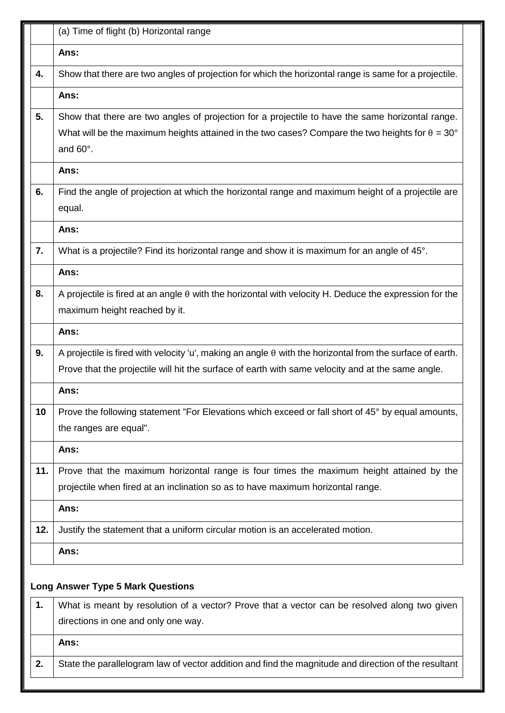|     | (a) Time of flight (b) Horizontal range                                                                                                                                                                                       |
|-----|-------------------------------------------------------------------------------------------------------------------------------------------------------------------------------------------------------------------------------|
|     | Ans:                                                                                                                                                                                                                          |
| 4.  | Show that there are two angles of projection for which the horizontal range is same for a projectile.                                                                                                                         |
|     | Ans:                                                                                                                                                                                                                          |
| 5.  | Show that there are two angles of projection for a projectile to have the same horizontal range.<br>What will be the maximum heights attained in the two cases? Compare the two heights for $\theta = 30^{\circ}$<br>and 60°. |
|     | Ans:                                                                                                                                                                                                                          |
| 6.  | Find the angle of projection at which the horizontal range and maximum height of a projectile are<br>equal.                                                                                                                   |
|     | Ans:                                                                                                                                                                                                                          |
| 7.  | What is a projectile? Find its horizontal range and show it is maximum for an angle of 45°.                                                                                                                                   |
|     | Ans:                                                                                                                                                                                                                          |
| 8.  | A projectile is fired at an angle $\theta$ with the horizontal with velocity H. Deduce the expression for the<br>maximum height reached by it.                                                                                |
|     | Ans:                                                                                                                                                                                                                          |
| 9.  | A projectile is fired with velocity 'u', making an angle $\theta$ with the horizontal from the surface of earth.<br>Prove that the projectile will hit the surface of earth with same velocity and at the same angle.         |
|     | Ans:                                                                                                                                                                                                                          |
| 10  | Prove the following statement "For Elevations which exceed or fall short of 45° by equal amounts,<br>the ranges are equal".                                                                                                   |
|     | Ans:                                                                                                                                                                                                                          |
| 11. | Prove that the maximum horizontal range is four times the maximum height attained by the<br>projectile when fired at an inclination so as to have maximum horizontal range.                                                   |
|     | Ans:                                                                                                                                                                                                                          |
| 12. | Justify the statement that a uniform circular motion is an accelerated motion.                                                                                                                                                |
|     | Ans:                                                                                                                                                                                                                          |
|     | <b>Long Answer Type 5 Mark Questions</b>                                                                                                                                                                                      |
| 1.  | What is meant by resolution of a vector? Prove that a vector can be resolved along two given                                                                                                                                  |
|     | directions in one and only one way.                                                                                                                                                                                           |
|     | Ans:                                                                                                                                                                                                                          |
| 2.  | State the parallelogram law of vector addition and find the magnitude and direction of the resultant                                                                                                                          |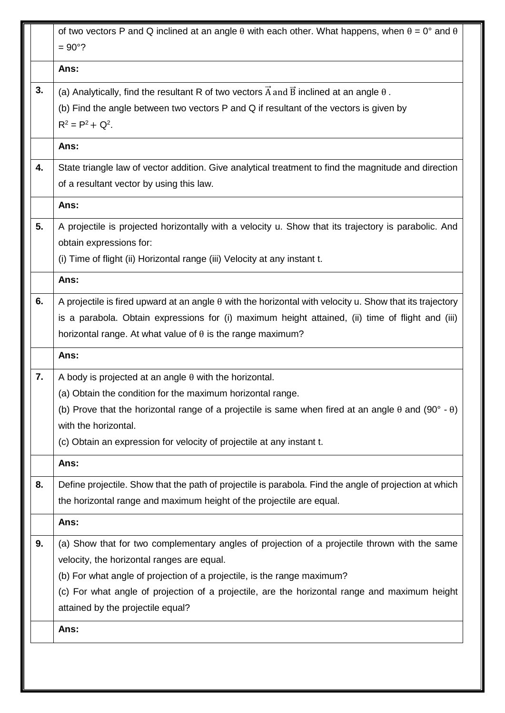|    | attained by the projectile equal?<br>Ans:                                                                         |
|----|-------------------------------------------------------------------------------------------------------------------|
|    |                                                                                                                   |
|    | (c) For what angle of projection of a projectile, are the horizontal range and maximum height                     |
|    | (b) For what angle of projection of a projectile, is the range maximum?                                           |
|    | velocity, the horizontal ranges are equal.                                                                        |
| 9. | Ans:<br>(a) Show that for two complementary angles of projection of a projectile thrown with the same             |
|    | the horizontal range and maximum height of the projectile are equal.                                              |
| 8. | Define projectile. Show that the path of projectile is parabola. Find the angle of projection at which            |
|    | Ans:                                                                                                              |
|    | (c) Obtain an expression for velocity of projectile at any instant t.                                             |
|    | with the horizontal.                                                                                              |
|    | (b) Prove that the horizontal range of a projectile is same when fired at an angle $\theta$ and (90° - $\theta$ ) |
|    | (a) Obtain the condition for the maximum horizontal range.                                                        |
| 7. | A body is projected at an angle $\theta$ with the horizontal.                                                     |
|    | Ans:                                                                                                              |
|    | horizontal range. At what value of $\theta$ is the range maximum?                                                 |
|    | is a parabola. Obtain expressions for (i) maximum height attained, (ii) time of flight and (iii)                  |
| 6. | A projectile is fired upward at an angle $\theta$ with the horizontal with velocity u. Show that its trajectory   |
|    | Ans:                                                                                                              |
|    | (i) Time of flight (ii) Horizontal range (iii) Velocity at any instant t.                                         |
|    | obtain expressions for:                                                                                           |
| 5. | A projectile is projected horizontally with a velocity u. Show that its trajectory is parabolic. And              |
|    | Ans:                                                                                                              |
|    | of a resultant vector by using this law.                                                                          |
| 4. | State triangle law of vector addition. Give analytical treatment to find the magnitude and direction              |
|    | Ans:                                                                                                              |
|    | (b) Find the angle between two vectors P and Q if resultant of the vectors is given by<br>$R^2 = P^2 + Q^2$ .     |
| 3. | (a) Analytically, find the resultant R of two vectors $\vec{A}$ and $\vec{B}$ inclined at an angle $\theta$ .     |
|    | Ans:                                                                                                              |
|    |                                                                                                                   |
|    | $= 90^{\circ}$ ?                                                                                                  |